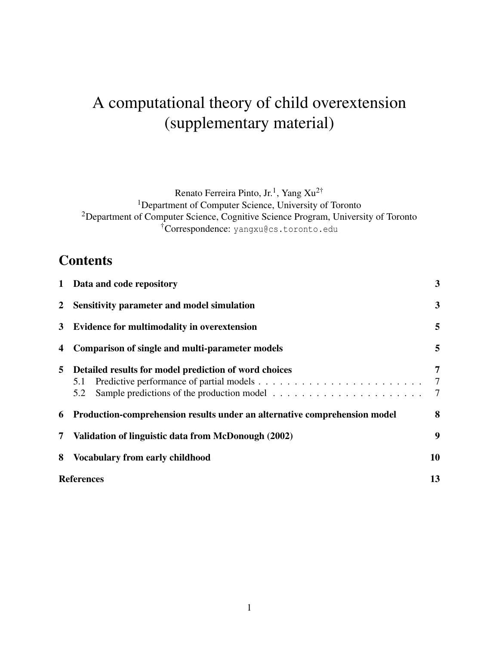# A computational theory of child overextension (supplementary material)

Renato Ferreira Pinto, Jr.<sup>1</sup>, Yang Xu<sup>2†</sup> <sup>1</sup>Department of Computer Science, University of Toronto <sup>2</sup>Department of Computer Science, Cognitive Science Program, University of Toronto †Correspondence: yangxu@cs.toronto.edu

## **Contents**

|                | 1 Data and code repository                                                                                                                                          | $\mathbf{3}$ |
|----------------|---------------------------------------------------------------------------------------------------------------------------------------------------------------------|--------------|
| $\mathbf{2}$   | Sensitivity parameter and model simulation                                                                                                                          | $\mathbf{3}$ |
| 3 <sup>1</sup> | <b>Evidence for multimodality in overextension</b>                                                                                                                  | 5            |
| 4              | Comparison of single and multi-parameter models                                                                                                                     | 5            |
| 5              | Detailed results for model prediction of word choices<br>5.1<br>Sample predictions of the production model $\dots \dots \dots \dots \dots \dots \dots \dots$<br>5.2 | 7<br>7<br>7  |
| 6              | Production-comprehension results under an alternative comprehension model                                                                                           | 8            |
| 7 <sup>1</sup> | Validation of linguistic data from McDonough (2002)                                                                                                                 | 9            |
| 8              | <b>Vocabulary from early childhood</b>                                                                                                                              | <b>10</b>    |
|                | <b>References</b>                                                                                                                                                   | 13           |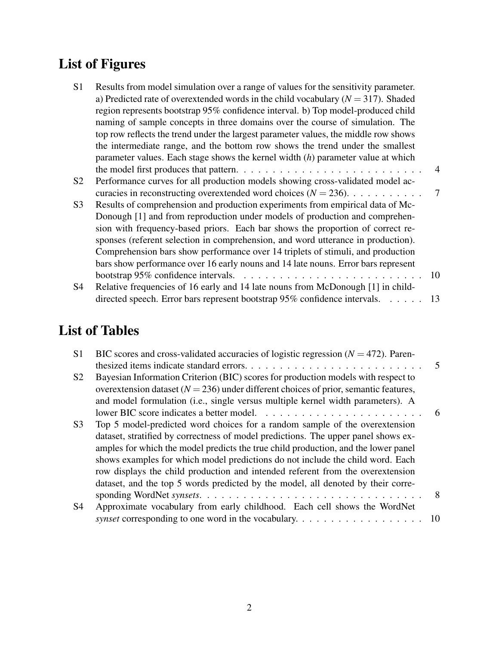# List of Figures

| S <sub>1</sub> | Results from model simulation over a range of values for the sensitivity parameter.                     |                |
|----------------|---------------------------------------------------------------------------------------------------------|----------------|
|                | a) Predicted rate of overextended words in the child vocabulary $(N = 317)$ . Shaded                    |                |
|                | region represents bootstrap 95% confidence interval. b) Top model-produced child                        |                |
|                | naming of sample concepts in three domains over the course of simulation. The                           |                |
|                | top row reflects the trend under the largest parameter values, the middle row shows                     |                |
|                | the intermediate range, and the bottom row shows the trend under the smallest                           |                |
|                | parameter values. Each stage shows the kernel width $(h)$ parameter value at which                      |                |
|                |                                                                                                         | $\overline{4}$ |
| S <sub>2</sub> | Performance curves for all production models showing cross-validated model ac-                          |                |
|                | curacies in reconstructing overextended word choices $(N = 236)$                                        | 7              |
| S <sub>3</sub> | Results of comprehension and production experiments from empirical data of Mc-                          |                |
|                | Donough [1] and from reproduction under models of production and comprehen-                             |                |
|                | sion with frequency-based priors. Each bar shows the proportion of correct re-                          |                |
|                | sponses (referent selection in comprehension, and word utterance in production).                        |                |
|                | Comprehension bars show performance over 14 triplets of stimuli, and production                         |                |
|                | bars show performance over 16 early nouns and 14 late nouns. Error bars represent                       |                |
|                | bootstrap 95% confidence intervals. $\dots \dots \dots \dots \dots \dots \dots \dots \dots \dots \dots$ | 10             |
| S4             | Relative frequencies of 16 early and 14 late nouns from McDonough [1] in child-                         |                |
|                | directed speech. Error bars represent bootstrap 95% confidence intervals.                               | 13             |

# List of Tables

| S <sub>1</sub> | BIC scores and cross-validated accuracies of logistic regression $(N = 472)$ . Paren-    |            |
|----------------|------------------------------------------------------------------------------------------|------------|
|                |                                                                                          | $\sqrt{5}$ |
| S <sub>2</sub> | Bayesian Information Criterion (BIC) scores for production models with respect to        |            |
|                | overextension dataset ( $N = 236$ ) under different choices of prior, semantic features, |            |
|                | and model formulation (i.e., single versus multiple kernel width parameters). A          |            |
|                |                                                                                          | - 6        |
| S <sub>3</sub> | Top 5 model-predicted word choices for a random sample of the overextension              |            |
|                | dataset, stratified by correctness of model predictions. The upper panel shows ex-       |            |
|                | amples for which the model predicts the true child production, and the lower panel       |            |
|                | shows examples for which model predictions do not include the child word. Each           |            |
|                | row displays the child production and intended referent from the overextension           |            |
|                | dataset, and the top 5 words predicted by the model, all denoted by their corre-         |            |
|                |                                                                                          | 8          |
| S4             | Approximate vocabulary from early childhood. Each cell shows the WordNet                 |            |
|                | <i>synset</i> corresponding to one word in the vocabulary. $\ldots$                      | - 10       |
|                |                                                                                          |            |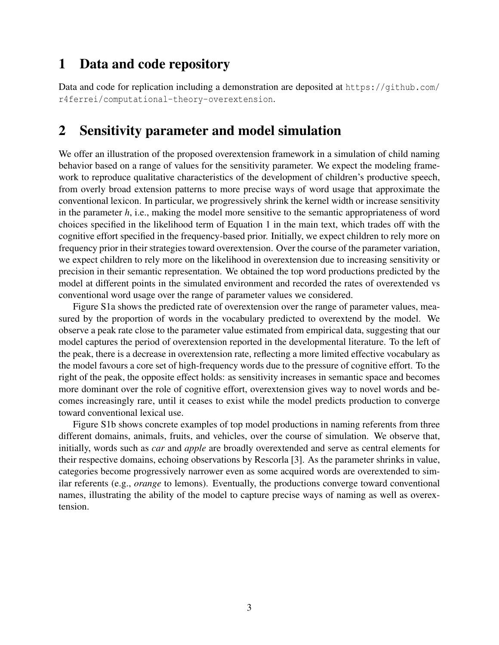#### 1 Data and code repository

Data and code for replication including a demonstration are deposited at https://github.com/ r4ferrei/computational-theory-overextension.

#### 2 Sensitivity parameter and model simulation

We offer an illustration of the proposed overextension framework in a simulation of child naming behavior based on a range of values for the sensitivity parameter. We expect the modeling framework to reproduce qualitative characteristics of the development of children's productive speech, from overly broad extension patterns to more precise ways of word usage that approximate the conventional lexicon. In particular, we progressively shrink the kernel width or increase sensitivity in the parameter *h*, i.e., making the model more sensitive to the semantic appropriateness of word choices specified in the likelihood term of Equation 1 in the main text, which trades off with the cognitive effort specified in the frequency-based prior. Initially, we expect children to rely more on frequency prior in their strategies toward overextension. Over the course of the parameter variation, we expect children to rely more on the likelihood in overextension due to increasing sensitivity or precision in their semantic representation. We obtained the top word productions predicted by the model at different points in the simulated environment and recorded the rates of overextended vs conventional word usage over the range of parameter values we considered.

Figure S1a shows the predicted rate of overextension over the range of parameter values, measured by the proportion of words in the vocabulary predicted to overextend by the model. We observe a peak rate close to the parameter value estimated from empirical data, suggesting that our model captures the period of overextension reported in the developmental literature. To the left of the peak, there is a decrease in overextension rate, reflecting a more limited effective vocabulary as the model favours a core set of high-frequency words due to the pressure of cognitive effort. To the right of the peak, the opposite effect holds: as sensitivity increases in semantic space and becomes more dominant over the role of cognitive effort, overextension gives way to novel words and becomes increasingly rare, until it ceases to exist while the model predicts production to converge toward conventional lexical use.

Figure S1b shows concrete examples of top model productions in naming referents from three different domains, animals, fruits, and vehicles, over the course of simulation. We observe that, initially, words such as *car* and *apple* are broadly overextended and serve as central elements for their respective domains, echoing observations by Rescorla [3]. As the parameter shrinks in value, categories become progressively narrower even as some acquired words are overextended to similar referents (e.g., *orange* to lemons). Eventually, the productions converge toward conventional names, illustrating the ability of the model to capture precise ways of naming as well as overextension.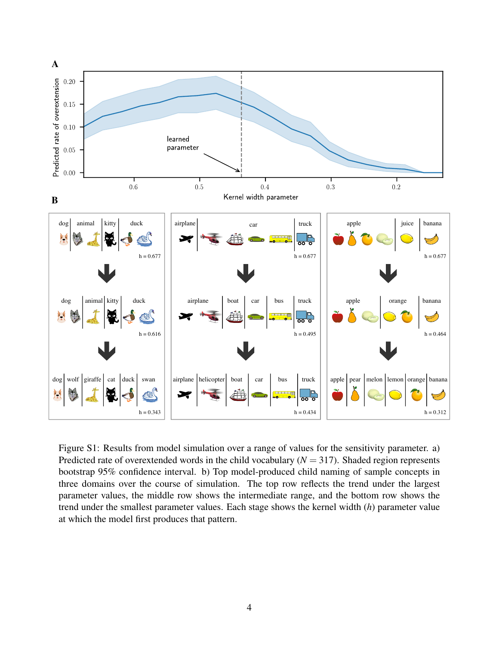

Figure S1: Results from model simulation over a range of values for the sensitivity parameter. a) Predicted rate of overextended words in the child vocabulary  $(N = 317)$ . Shaded region represents bootstrap 95% confidence interval. b) Top model-produced child naming of sample concepts in three domains over the course of simulation. The top row reflects the trend under the largest parameter values, the middle row shows the intermediate range, and the bottom row shows the trend under the smallest parameter values. Each stage shows the kernel width (*h*) parameter value at which the model first produces that pattern.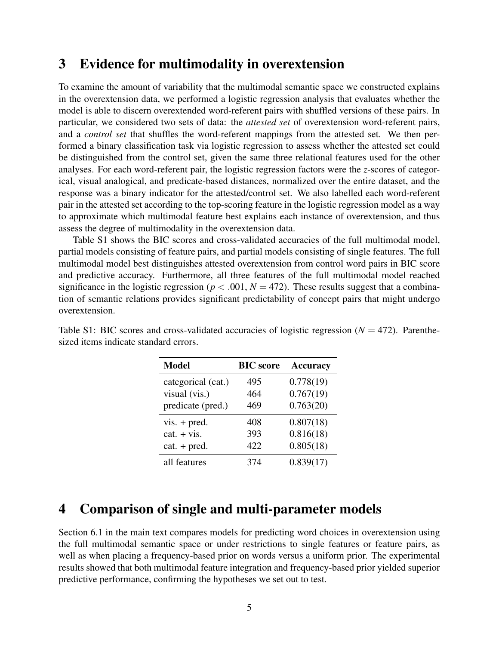#### 3 Evidence for multimodality in overextension

To examine the amount of variability that the multimodal semantic space we constructed explains in the overextension data, we performed a logistic regression analysis that evaluates whether the model is able to discern overextended word-referent pairs with shuffled versions of these pairs. In particular, we considered two sets of data: the *attested set* of overextension word-referent pairs, and a *control set* that shuffles the word-referent mappings from the attested set. We then performed a binary classification task via logistic regression to assess whether the attested set could be distinguished from the control set, given the same three relational features used for the other analyses. For each word-referent pair, the logistic regression factors were the *z*-scores of categorical, visual analogical, and predicate-based distances, normalized over the entire dataset, and the response was a binary indicator for the attested/control set. We also labelled each word-referent pair in the attested set according to the top-scoring feature in the logistic regression model as a way to approximate which multimodal feature best explains each instance of overextension, and thus assess the degree of multimodality in the overextension data.

Table S1 shows the BIC scores and cross-validated accuracies of the full multimodal model, partial models consisting of feature pairs, and partial models consisting of single features. The full multimodal model best distinguishes attested overextension from control word pairs in BIC score and predictive accuracy. Furthermore, all three features of the full multimodal model reached significance in the logistic regression ( $p < .001$ ,  $N = 472$ ). These results suggest that a combination of semantic relations provides significant predictability of concept pairs that might undergo overextension.

| <b>Model</b>       | <b>BIC</b> score | <b>Accuracy</b> |
|--------------------|------------------|-----------------|
| categorical (cat.) | 495              | 0.778(19)       |
| visual (vis.)      | 464              | 0.767(19)       |
| predicate (pred.)  | 469              | 0.763(20)       |
| $vis. + pred.$     | 408              | 0.807(18)       |
| $cat. + vis.$      | 393              | 0.816(18)       |
| $cat. + pred.$     | 422              | 0.805(18)       |
| all features       | 374              | 0.839(17)       |

Table S1: BIC scores and cross-validated accuracies of logistic regression  $(N = 472)$ . Parenthesized items indicate standard errors.

### 4 Comparison of single and multi-parameter models

Section 6.1 in the main text compares models for predicting word choices in overextension using the full multimodal semantic space or under restrictions to single features or feature pairs, as well as when placing a frequency-based prior on words versus a uniform prior. The experimental results showed that both multimodal feature integration and frequency-based prior yielded superior predictive performance, confirming the hypotheses we set out to test.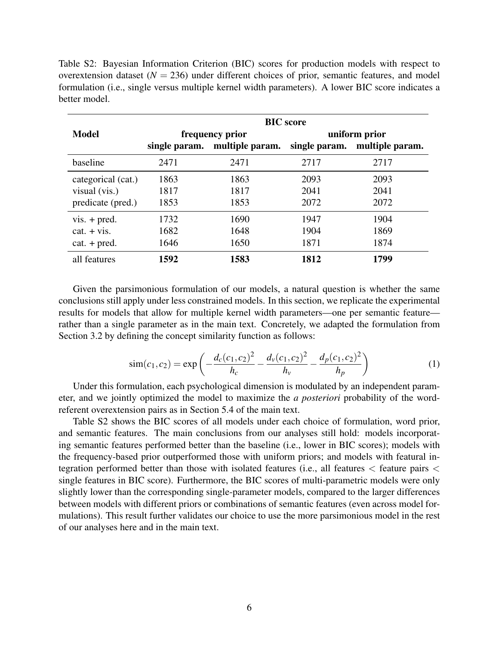Table S2: Bayesian Information Criterion (BIC) scores for production models with respect to overextension dataset  $(N = 236)$  under different choices of prior, semantic features, and model formulation (i.e., single versus multiple kernel width parameters). A lower BIC score indicates a better model.

|                    | <b>BIC</b> score |                               |               |                               |  |
|--------------------|------------------|-------------------------------|---------------|-------------------------------|--|
| Model              |                  | frequency prior               | uniform prior |                               |  |
|                    |                  | single param. multiple param. |               | single param. multiple param. |  |
| baseline           | 2471             | 2471                          | 2717          | 2717                          |  |
| categorical (cat.) | 1863             | 1863                          | 2093          | 2093                          |  |
| visual (vis.)      | 1817             | 1817                          | 2041          | 2041                          |  |
| predicate (pred.)  | 1853             | 1853                          | 2072          | 2072                          |  |
| $vis. + pred.$     | 1732             | 1690                          | 1947          | 1904                          |  |
| $cat. + vis.$      | 1682             | 1648                          | 1904          | 1869                          |  |
| $cat. + pred.$     | 1646             | 1650                          | 1871          | 1874                          |  |
| all features       | 1592             | 1583                          | 1812          | 1799                          |  |

Given the parsimonious formulation of our models, a natural question is whether the same conclusions still apply under less constrained models. In this section, we replicate the experimental results for models that allow for multiple kernel width parameters—one per semantic feature rather than a single parameter as in the main text. Concretely, we adapted the formulation from Section 3.2 by defining the concept similarity function as follows:

$$
\sin(c_1, c_2) = \exp\left(-\frac{d_c(c_1, c_2)^2}{h_c} - \frac{d_v(c_1, c_2)^2}{h_v} - \frac{d_p(c_1, c_2)^2}{h_p}\right) \tag{1}
$$

Under this formulation, each psychological dimension is modulated by an independent parameter, and we jointly optimized the model to maximize the *a posteriori* probability of the wordreferent overextension pairs as in Section 5.4 of the main text.

Table S2 shows the BIC scores of all models under each choice of formulation, word prior, and semantic features. The main conclusions from our analyses still hold: models incorporating semantic features performed better than the baseline (i.e., lower in BIC scores); models with the frequency-based prior outperformed those with uniform priors; and models with featural integration performed better than those with isolated features (i.e., all features < feature pairs < single features in BIC score). Furthermore, the BIC scores of multi-parametric models were only slightly lower than the corresponding single-parameter models, compared to the larger differences between models with different priors or combinations of semantic features (even across model formulations). This result further validates our choice to use the more parsimonious model in the rest of our analyses here and in the main text.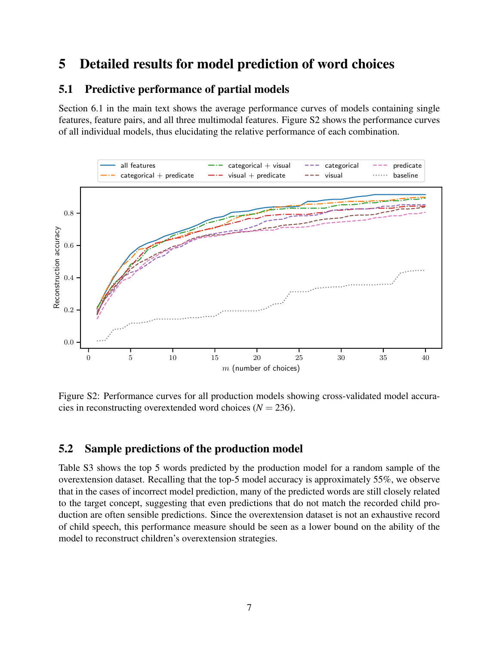### 5 Detailed results for model prediction of word choices

#### 5.1 Predictive performance of partial models

Section 6.1 in the main text shows the average performance curves of models containing single features, feature pairs, and all three multimodal features. Figure S2 shows the performance curves of all individual models, thus elucidating the relative performance of each combination.



Figure S2: Performance curves for all production models showing cross-validated model accuracies in reconstructing overextended word choices  $(N = 236)$ .

#### 5.2 Sample predictions of the production model

Table S3 shows the top 5 words predicted by the production model for a random sample of the overextension dataset. Recalling that the top-5 model accuracy is approximately 55%, we observe that in the cases of incorrect model prediction, many of the predicted words are still closely related to the target concept, suggesting that even predictions that do not match the recorded child production are often sensible predictions. Since the overextension dataset is not an exhaustive record of child speech, this performance measure should be seen as a lower bound on the ability of the model to reconstruct children's overextension strategies.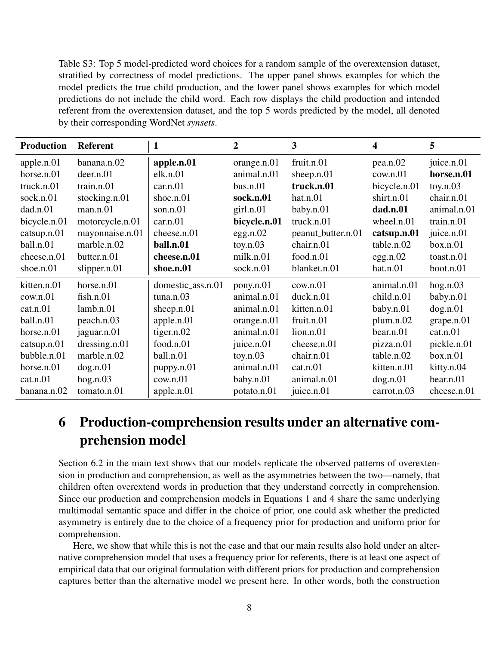Table S3: Top 5 model-predicted word choices for a random sample of the overextension dataset, stratified by correctness of model predictions. The upper panel shows examples for which the model predicts the true child production, and the lower panel shows examples for which model predictions do not include the child word. Each row displays the child production and intended referent from the overextension dataset, and the top 5 words predicted by the model, all denoted by their corresponding WordNet *synsets*.

| <b>Production</b> | <b>Referent</b>  | $\mathbf{1}$      | $\overline{2}$ | $\overline{\mathbf{3}}$ | 4             | 5             |
|-------------------|------------------|-------------------|----------------|-------------------------|---------------|---------------|
| apple.n.01        | banana.n.02      | apple.n.01        | orange.n.01    | fruit.n.01              | pea.n.02      | juice.n.01    |
| horse.n. $01$     | deer.n.01        | elk.n.01          | animal.n.01    | sheep.n.01              | cow.n.01      | horse.n.01    |
| truck.n.01        | train.n.01       | car.n.01          | bus.n.01       | truck.n.01              | bicycle.n.01  | toy.n.03      |
| sock.n.01         | stocking.n.01    | shoe.n.01         | sock.n.01      | hat.n.01                | shirt.n.01    | chair.n.01    |
| dad.n.01          | man.n.01         | son.n. $01$       | girl.n.01      | baby.n.01               | dad.n.01      | animal.n.01   |
| bicycle.n.01      | motorcycle.n.01  | car.n.01          | bicycle.n.01   | truck.n.01              | wheel.n.01    | train.n.01    |
| catsup.n.01       | mayonnaise.n.01  | cheese.n.01       | egg.n.02       | peanut_butter.n.01      | catsup.n.01   | juice.n.01    |
| ball.n.01         | marble.n.02      | ball.n.01         | toy.n.03       | chair.n.01              | table.n.02    | box.n.01      |
| cheese.n.01       | butter.n.01      | cheese.n.01       | milk.n.01      | food.n.01               | egg.n.02      | toast.n.01    |
| shoe.n.01         | slipper.n.01     | shoe.n.01         | sock.n.01      | blanket.n.01            | hat.n.01      | boot.n.01     |
| kitten.n.01       | horse.n. $01$    | domestic_ass.n.01 | pony.n.01      | cow.n.01                | animal.n.01   | hog.n.03      |
| cow.n.01          | fish.n.01        | $t$ una.n.03      | animal.n.01    | duck.n.01               | child.n.01    | baby.n.01     |
| cat.n.01          | lamb.n.01        | sheep.n. $01$     | animal.n.01    | kitten.n.01             | baby.n.01     | dog.n.01      |
| ball.n.01         | peach.n.03       | apple.n.01        | orange.n.01    | fruit.n.01              | plum.n.02     | grape.n.01    |
| horse.n. $01$     | jaguar.n.01      | tiger.n. $02$     | animal.n.01    | lion.n.01               | $\frac{1}{2}$ | cat.n.01      |
| catsup.n.01       | $d$ ressing.n.01 | food.n.01         | juice.n.01     | cheese.n.01             | pizza.n.01    | pickle.n.01   |
| bubble.n.01       | marble.n.02      | ball.n.01         | toy.n.03       | chair.n.01              | table.n.02    | box.n.01      |
| horse.n.01        | dog.n.01         | puppy.n.01        | animal.n.01    | cat.n.01                | kitten.n.01   | kitty.n.04    |
| cat.n.01          | hog.n.03         | cow.n.01          | baby.n.01      | animal.n.01             | dog.n.01      | $\frac{1}{2}$ |
| banana.n.02       | tomato.n.01      | apple.n.01        | potato.n.01    | juice.n.01              | carrot.n.03   | cheese.n.01   |

# 6 Production-comprehension results under an alternative comprehension model

Section 6.2 in the main text shows that our models replicate the observed patterns of overextension in production and comprehension, as well as the asymmetries between the two—namely, that children often overextend words in production that they understand correctly in comprehension. Since our production and comprehension models in Equations 1 and 4 share the same underlying multimodal semantic space and differ in the choice of prior, one could ask whether the predicted asymmetry is entirely due to the choice of a frequency prior for production and uniform prior for comprehension.

Here, we show that while this is not the case and that our main results also hold under an alternative comprehension model that uses a frequency prior for referents, there is at least one aspect of empirical data that our original formulation with different priors for production and comprehension captures better than the alternative model we present here. In other words, both the construction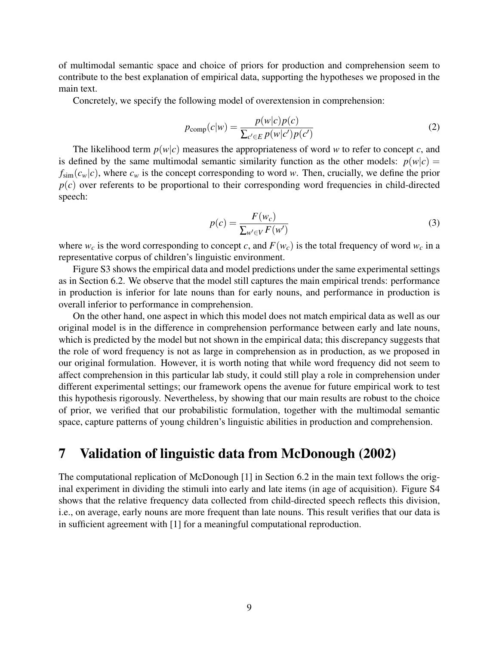of multimodal semantic space and choice of priors for production and comprehension seem to contribute to the best explanation of empirical data, supporting the hypotheses we proposed in the main text.

Concretely, we specify the following model of overextension in comprehension:

$$
p_{\text{comp}}(c|w) = \frac{p(w|c)p(c)}{\sum_{c' \in E} p(w|c')p(c')}
$$
 (2)

The likelihood term  $p(w|c)$  measures the appropriateness of word w to refer to concept c, and is defined by the same multimodal semantic similarity function as the other models:  $p(w|c)$  =  $f_{\text{sim}}(c_w|c)$ , where  $c_w$  is the concept corresponding to word *w*. Then, crucially, we define the prior  $p(c)$  over referents to be proportional to their corresponding word frequencies in child-directed speech:

$$
p(c) = \frac{F(w_c)}{\sum_{w' \in V} F(w')}
$$
\n(3)

where  $w_c$  is the word corresponding to concept *c*, and  $F(w_c)$  is the total frequency of word  $w_c$  in a representative corpus of children's linguistic environment.

Figure S3 shows the empirical data and model predictions under the same experimental settings as in Section 6.2. We observe that the model still captures the main empirical trends: performance in production is inferior for late nouns than for early nouns, and performance in production is overall inferior to performance in comprehension.

On the other hand, one aspect in which this model does not match empirical data as well as our original model is in the difference in comprehension performance between early and late nouns, which is predicted by the model but not shown in the empirical data; this discrepancy suggests that the role of word frequency is not as large in comprehension as in production, as we proposed in our original formulation. However, it is worth noting that while word frequency did not seem to affect comprehension in this particular lab study, it could still play a role in comprehension under different experimental settings; our framework opens the avenue for future empirical work to test this hypothesis rigorously. Nevertheless, by showing that our main results are robust to the choice of prior, we verified that our probabilistic formulation, together with the multimodal semantic space, capture patterns of young children's linguistic abilities in production and comprehension.

#### 7 Validation of linguistic data from McDonough (2002)

The computational replication of McDonough [1] in Section 6.2 in the main text follows the original experiment in dividing the stimuli into early and late items (in age of acquisition). Figure S4 shows that the relative frequency data collected from child-directed speech reflects this division, i.e., on average, early nouns are more frequent than late nouns. This result verifies that our data is in sufficient agreement with [1] for a meaningful computational reproduction.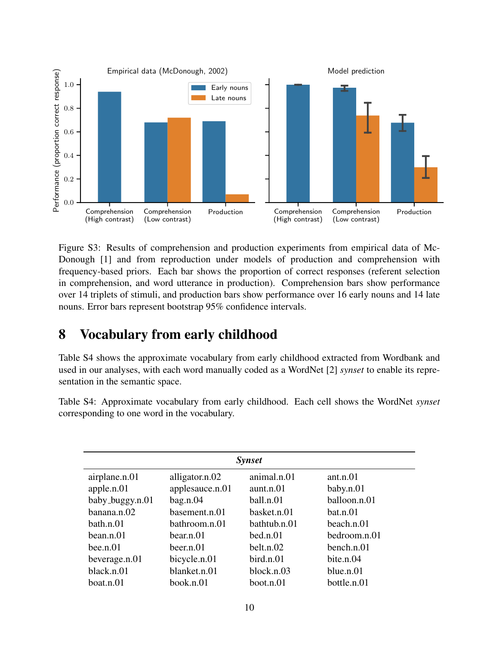

Figure S3: Results of comprehension and production experiments from empirical data of Mc-Donough [1] and from reproduction under models of production and comprehension with frequency-based priors. Each bar shows the proportion of correct responses (referent selection in comprehension, and word utterance in production). Comprehension bars show performance over 14 triplets of stimuli, and production bars show performance over 16 early nouns and 14 late nouns. Error bars represent bootstrap 95% confidence intervals.

### 8 Vocabulary from early childhood

Table S4 shows the approximate vocabulary from early childhood extracted from Wordbank and used in our analyses, with each word manually coded as a WordNet [2] *synset* to enable its representation in the semantic space.

Table S4: Approximate vocabulary from early childhood. Each cell shows the WordNet *synset* corresponding to one word in the vocabulary.

| <i>Synset</i>               |                                   |                                |                          |  |  |
|-----------------------------|-----------------------------------|--------------------------------|--------------------------|--|--|
| airplane.n.01<br>apple.n.01 | alligator.n.02<br>applesauce.n.01 | animal.n.01<br>$a$ unt.n. $01$ | ant.n. $01$<br>baby.n.01 |  |  |
| baby_buggy.n.01             | bag.n.04                          | ball.n.01                      | balloon.n.01             |  |  |
| banana.n.02                 | basement.n.01                     | basket.n.01                    | hat.n.01                 |  |  |
| bath.n.01                   | bathroom.n.01                     | bathtub.n.01                   | beach.n.01               |  |  |
| bean.n.01                   | bear.n.01                         | bed.n.01                       | bedroom.n.01             |  |  |
| bee.n. $01$                 | heer.n.01                         | belt.n.02                      | bench.n.01               |  |  |
| beverage.n.01               | bicycle.n.01                      | bird.n.01                      | bite.n.04                |  |  |
| black.n.01                  | blanket.n.01                      | block.n.03                     | blue.n.01                |  |  |
| boat.n.01                   | book.n.01                         | boot.n.01                      | bottle.n.01              |  |  |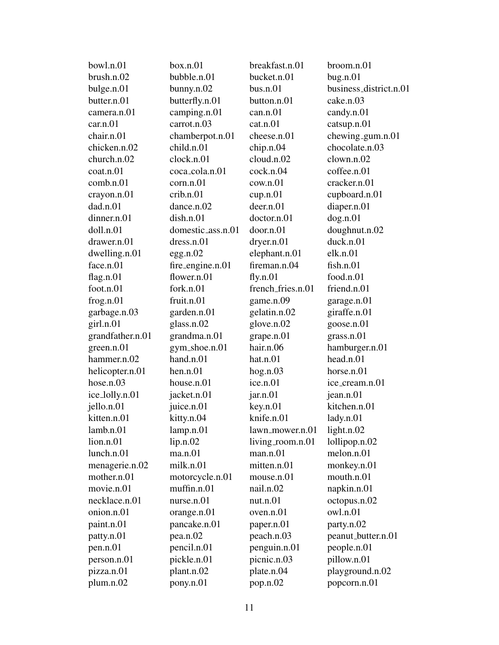| bowl.n.01        | box.n.01          | breakfast.n.01    | broom.n.01             |
|------------------|-------------------|-------------------|------------------------|
| brush.n.02       | bubble.n.01       | bucket.n.01       | bug.n.01               |
| bulge.n.01       | bunny.n.02        | bus.n.01          | business_district.n.01 |
| butter.n.01      | butterfly.n.01    | button.n.01       | cake.n.03              |
| camera.n.01      | camping.n.01      | can.n.01          | candy.n.01             |
| car.n.01         | carrot.n.03       | cat.n.01          | catsup.n.01            |
| chair.n.01       | chamberpot.n.01   | cheese.n.01       | chewing_gum.n.01       |
| chicken.n.02     | child.n.01        | chip.n.04         | chocolate.n.03         |
| church.n.02      | clock.n.01        | cloud.n.02        | clown.n.02             |
| coat.n.01        | coca_cola.n.01    | cock.n.04         | coffee.n.01            |
| comb.n.01        | corn.n.01         | cow.n.01          | cracker.n.01           |
| crayon.n.01      | crib.n.01         | cup.n.01          | cupboard.n.01          |
| dad.n.01         | dance.n.02        | deer.n.01         | diaper.n.01            |
| dinner.n.01      | dish.n.01         | doctor.n.01       | dog.n.01               |
| $d$ oll.n. $01$  | domestic_ass.n.01 | door.n.01         | doughnut.n.02          |
| drawer.n.01      | dress.n.01        | dryer.n.01        | duck.n.01              |
| dwelling.n.01    | egg.n.02          | elephant.n.01     | elk.n.01               |
| face.n.01        | fire_engine.n.01  | fireman.n.04      | fish.n.01              |
| flag.n.01        | flower.n.01       | fly. n. 01        | food.n.01              |
| foot.n.01        | fork.n.01         | french_fries.n.01 | friend.n.01            |
| frog.n.01        | fruit.n.01        | game.n.09         | garage.n.01            |
| garbage.n.03     | garden.n.01       | gelatin.n.02      | giraffe.n.01           |
| girl.n.01        | glass.n.02        | glove.n.02        | goose.n.01             |
| grandfather.n.01 | grandma.n.01      | grape.n.01        | grass.n.01             |
| green.n.01       | $gym_s$ hoe.n.01  | hair.n.06         | hamburger.n.01         |
| hammer.n.02      | hand.n.01         | hat.n.01          | head.n.01              |
| helicopter.n.01  | hen.n.01          | hog.n.03          | horse.n.01             |
| hose.n.03        | house.n.01        | ice.n.01          | ice_cream.n.01         |
| ice_lolly.n.01   | jacket.n.01       | jar.n.01          | jean.n.01              |
| jello.n.01       | juice.n.01        | key.n.01          | kitchen.n.01           |
| kitten.n.01      | kitty.n.04        | knife.n.01        | lady.n.01              |
| lamb.n.01        | lamp.n.01         | lawn_mower.n.01   | light.n.02             |
| lion.n.01        | lip.n.02          | living_room.n.01  | lollipop.n.02          |
| lunch.n.01       | ma.n.01           | man.n.01          | melon.n.01             |
| menagerie.n.02   | milk.n.01         | mitten.n.01       | monkey.n.01            |
| mother.n.01      | motorcycle.n.01   | mouse.n.01        | mouth.n.01             |
| movie.n.01       | muffin.n.01       | nail.n.02         | napkin.n.01            |
| necklace.n.01    | nurse.n.01        | nut.n.01          | octopus.n.02           |
| onion.n.01       | orange.n.01       | oven.n.01         | owl.n.01               |
| paint.n.01       | pancake.n.01      | paper.n.01        | party.n.02             |
| patty.n.01       | pea.n.02          | peach.n.03        | peanut_butter.n.01     |
| pen.n.01         | pencil.n.01       | penguin.n.01      | people.n.01            |
| person.n.01      | pickle.n.01       | picnic.n.03       | pillow.n.01            |
| pizza.n.01       | plant.n.02        | plate.n.04        | playground.n.02        |
| plum.n.02        | pony.n.01         | pop.n.02          | popcorn.n.01           |
|                  |                   |                   |                        |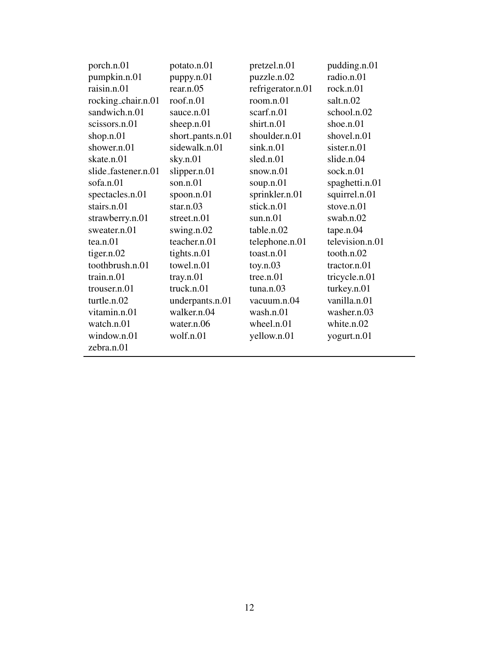| porch.n.01          | potato.n.01      | pretzel.n.01      | pudding.n.01    |
|---------------------|------------------|-------------------|-----------------|
| pumpkin.n.01        | puppy.n.01       | puzzle.n.02       | radio.n.01      |
| raisin.n.01         | rear.n.05        | refrigerator.n.01 | rock.n.01       |
| rocking_chair.n.01  | roof.n.01        | room.n.01         | salt.n.02       |
| sandwich.n.01       | sauce.n.01       | scarf.n.01        | school.n.02     |
| scissors.n.01       | sheep.n.01       | shirt.n.01        | shoe.n.01       |
| shop.n. $01$        | short_pants.n.01 | shoulder.n.01     | shovel.n.01     |
| shower.n.01         | sidewalk.n.01    | sink.n.01         | sister.n.01     |
| skate.n.01          | sky.n.01         | sled.n.01         | slide.n.04      |
| slide_fastener.n.01 | slipper.n.01     | snow.n.01         | sock.n.01       |
| sofa.n.01           | son.n. $01$      | soup.n.01         | spaghetti.n.01  |
| spectacles.n.01     | spoon.n.01       | sprinkler.n.01    | squirrel.n.01   |
| stairs.n.01         | star.n.03        | stick.n.01        | stove.n.01      |
| strawberry.n.01     | street.n.01      | sun.n.01          | swab.n.02       |
| sweater.n.01        | swing.n.02       | table.n.02        | tape.n.04       |
| tea.n.01            | teacher.n.01     | telephone.n.01    | television.n.01 |
| tiger.n.02          | tights.n.01      | toast.n.01        | tooth.n.02      |
| toothbrush.n.01     | towel.n.01       | toy.n.03          | tractor.n.01    |
| train.n.01          | tray.n.01        | tree.n.01         | tricycle.n.01   |
| trouser.n.01        | truck.n.01       | $t$ una.n.03      | turkey.n.01     |
| turtle.n.02         | underpants.n.01  | vacuum.n.04       | vanilla.n.01    |
| vitamin.n.01        | walker.n.04      | wash.n.01         | washer.n.03     |
| watch.n.01          | water.n.06       | wheel.n.01        | white.n. $02$   |
| window.n.01         | wolf.n.01        | yellow.n.01       | yogurt.n.01     |
| zebra.n.01          |                  |                   |                 |